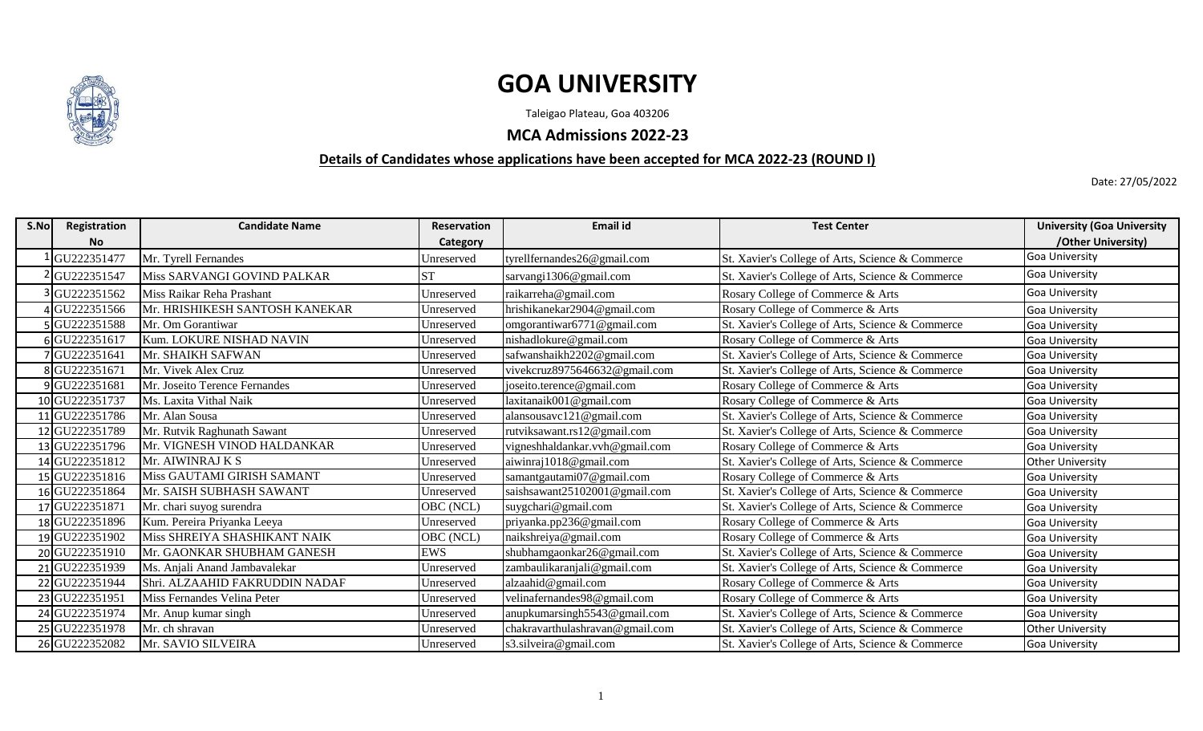

## **GOA UNIVERSITY**

Taleigao Plateau, Goa 403206

**MCA Admissions 2022-23**

## **Details of Candidates whose applications have been accepted for MCA 2022-23 (ROUND I)**

Date: 27/05/2022

| S.No | Registration   | <b>Candidate Name</b>          | <b>Reservation</b> | <b>Email id</b>                 | <b>Test Center</b>                               | <b>University (Goa University</b> |
|------|----------------|--------------------------------|--------------------|---------------------------------|--------------------------------------------------|-----------------------------------|
|      | <b>No</b>      |                                | Category           |                                 |                                                  | /Other University)                |
|      | GU222351477    | Mr. Tyrell Fernandes           | Unreserved         | tyrellfernandes26@gmail.com     | St. Xavier's College of Arts, Science & Commerce | Goa University                    |
|      | GU222351547    | Miss SARVANGI GOVIND PALKAR    | <b>ST</b>          | sarvangi1306@gmail.com          | St. Xavier's College of Arts, Science & Commerce | Goa University                    |
|      | GU222351562    | Miss Raikar Reha Prashant      | Unreserved         | raikarreha@gmail.com            | Rosary College of Commerce & Arts                | Goa University                    |
|      | GU222351566    | Mr. HRISHIKESH SANTOSH KANEKAR | Unreserved         | hrishikanekar2904@gmail.com     | Rosary College of Commerce & Arts                | <b>Goa University</b>             |
|      | GU222351588    | Mr. Om Gorantiwar              | Unreserved         | omgorantiwar6771@gmail.com      | St. Xavier's College of Arts, Science & Commerce | Goa University                    |
|      | 6GU222351617   | Kum. LOKURE NISHAD NAVIN       | Unreserved         | nishadlokure@gmail.com          | Rosary College of Commerce & Arts                | <b>Goa University</b>             |
|      | GU222351641    | Mr. SHAIKH SAFWAN              | Unreserved         | safwanshaikh2202@gmail.com      | St. Xavier's College of Arts, Science & Commerce | Goa University                    |
|      | 8GU222351671   | Mr. Vivek Alex Cruz            | Unreserved         | vivekcruz8975646632@gmail.com   | St. Xavier's College of Arts, Science & Commerce | Goa University                    |
|      | GU222351681    | Mr. Joseito Terence Fernandes  | Unreserved         | joseito.terence@gmail.com       | Rosary College of Commerce & Arts                | Goa University                    |
|      | 10 GU222351737 | Ms. Laxita Vithal Naik         | Unreserved         | laxitanaik001@gmail.com         | Rosary College of Commerce & Arts                | <b>Goa University</b>             |
|      | 11 GU222351786 | Mr. Alan Sousa                 | Unreserved         | alansousavc121@gmail.com        | St. Xavier's College of Arts, Science & Commerce | Goa University                    |
|      | 12 GU222351789 | Mr. Rutvik Raghunath Sawant    | Unreserved         | utviksawant.rs12@gmail.com      | St. Xavier's College of Arts, Science & Commerce | Goa University                    |
|      | 13 GU222351796 | Mr. VIGNESH VINOD HALDANKAR    | Unreserved         | vigneshhaldankar.vvh@gmail.com  | Rosary College of Commerce & Arts                | <b>Goa University</b>             |
|      | 14 GU222351812 | Mr. AIWINRAJ K S               | Unreserved         | aiwinraj1018@gmail.com          | St. Xavier's College of Arts, Science & Commerce | <b>Other University</b>           |
|      | 15 GU222351816 | Miss GAUTAMI GIRISH SAMANT     | Unreserved         | samantgautami07@gmail.com       | Rosary College of Commerce & Arts                | <b>Goa University</b>             |
|      | 16 GU222351864 | Mr. SAISH SUBHASH SAWANT       | Unreserved         | saishsawant25102001@gmail.com   | St. Xavier's College of Arts, Science & Commerce | Goa University                    |
|      | 17 GU222351871 | Mr. chari suyog surendra       | OBC (NCL)          | suygchari@gmail.com             | St. Xavier's College of Arts, Science & Commerce | <b>Goa University</b>             |
|      | 18 GU222351896 | Kum. Pereira Priyanka Leeya    | Unreserved         | priyanka.pp236@gmail.com        | Rosary College of Commerce & Arts                | <b>Goa University</b>             |
|      | 19 GU222351902 | Miss SHREIYA SHASHIKANT NAIK   | OBC (NCL)          | naikshreiya@gmail.com           | Rosary College of Commerce & Arts                | <b>Goa University</b>             |
|      | 20 GU222351910 | Mr. GAONKAR SHUBHAM GANESH     | <b>EWS</b>         | shubhamgaonkar26@gmail.com      | St. Xavier's College of Arts, Science & Commerce | <b>Goa University</b>             |
|      | 21GU222351939  | Ms. Anjali Anand Jambavalekar  | Unreserved         | zambaulikaranjali@gmail.com     | St. Xavier's College of Arts, Science & Commerce | <b>Goa University</b>             |
|      | 22 GU222351944 | Shri. ALZAAHID FAKRUDDIN NADAF | Unreserved         | alzaahid@gmail.com              | Rosary College of Commerce & Arts                | Goa University                    |
|      | 23 GU222351951 | Miss Fernandes Velina Peter    | Unreserved         | velinafernandes98@gmail.com     | Rosary College of Commerce & Arts                | <b>Goa University</b>             |
|      | 24 GU222351974 | Mr. Anup kumar singh           | Unreserved         | anupkumarsingh5543@gmail.com    | St. Xavier's College of Arts, Science & Commerce | <b>Goa University</b>             |
|      | 25 GU222351978 | Mr. ch shravan                 | Unreserved         | chakravarthulashravan@gmail.com | St. Xavier's College of Arts, Science & Commerce | <b>Other University</b>           |
|      | 26 GU222352082 | Mr. SAVIO SILVEIRA             | Unreserved         | s3.silveira@gmail.com           | St. Xavier's College of Arts, Science & Commerce | <b>Goa University</b>             |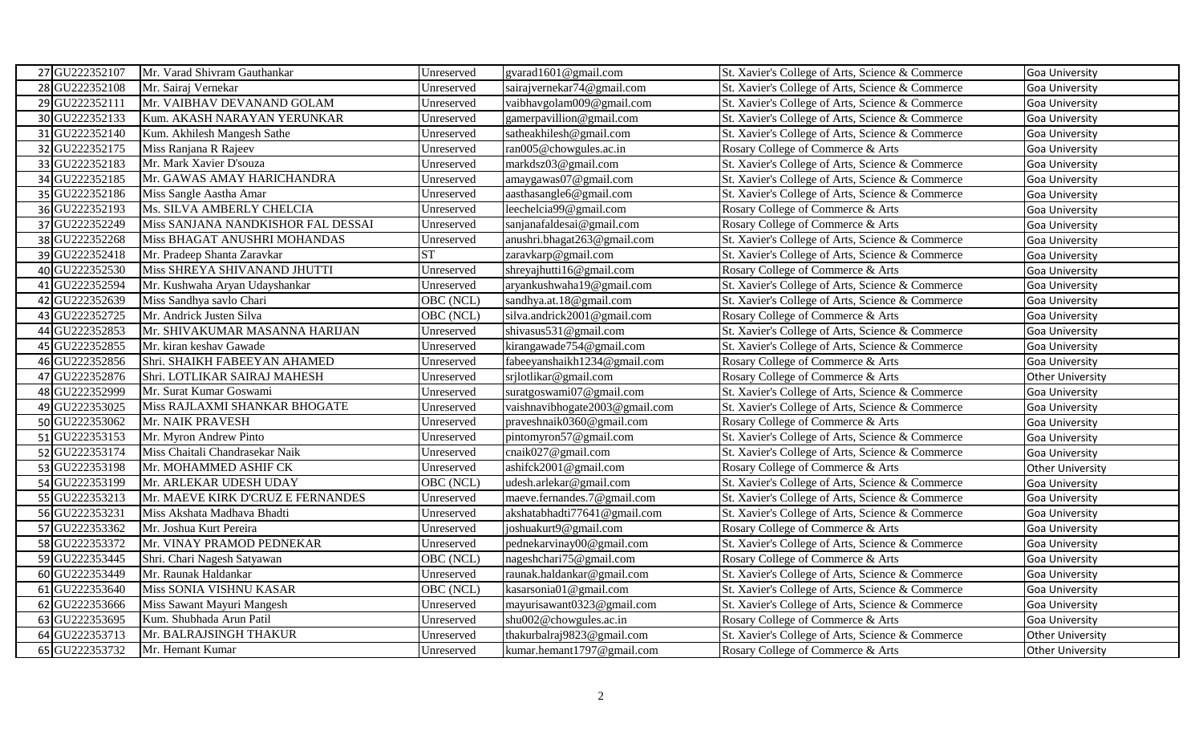| 27 GU222352107<br>Mr. Varad Shivram Gauthankar | Unreserved                                       | gvarad1601@gmail.com           | St. Xavier's College of Arts, Science & Commerce | Goa University          |
|------------------------------------------------|--------------------------------------------------|--------------------------------|--------------------------------------------------|-------------------------|
| 28 GU222352108<br>Mr. Sairaj Vernekar          | Unreserved                                       | sairajvernekar74@gmail.com     | St. Xavier's College of Arts, Science & Commerce | Goa University          |
| 29 GU222352111                                 | Mr. VAIBHAV DEVANAND GOLAM<br>Unreserved         | vaibhavgolam009@gmail.com      | St. Xavier's College of Arts, Science & Commerce | Goa University          |
| 30 GU222352133                                 | Kum. AKASH NARAYAN YERUNKAR<br>Unreserved        | gamerpavillion@gmail.com       | St. Xavier's College of Arts, Science & Commerce | Goa University          |
| 31 GU222352140                                 | Kum. Akhilesh Mangesh Sathe<br>Unreserved        | satheakhilesh@gmail.com        | St. Xavier's College of Arts, Science & Commerce | Goa University          |
| 32 GU222352175<br>Miss Ranjana R Rajeev        | Unreserved                                       | ran005@chowgules.ac.in         | Rosary College of Commerce & Arts                | Goa University          |
| 33 GU222352183<br>Mr. Mark Xavier D'souza      | Unreserved                                       | markdsz03@gmail.com            | St. Xavier's College of Arts, Science & Commerce | <b>Goa University</b>   |
| 34 GU222352185                                 | Mr. GAWAS AMAY HARICHANDRA<br>Unreserved         | amaygawas07@gmail.com          | St. Xavier's College of Arts, Science & Commerce | Goa University          |
| 35 GU222352186<br>Miss Sangle Aastha Amar      | Unreserved                                       | aasthasangle6@gmail.com        | St. Xavier's College of Arts, Science & Commerce | Goa University          |
| 36 GU222352193                                 | Ms. SILVA AMBERLY CHELCIA<br>Unreserved          | leechelcia99@gmail.com         | Rosary College of Commerce & Arts                | Goa University          |
| 37 GU222352249                                 | Miss SANJANA NANDKISHOR FAL DESSAI<br>Unreserved | sanjanafaldesai@gmail.com      | Rosary College of Commerce & Arts                | Goa University          |
| 38 GU222352268                                 | Miss BHAGAT ANUSHRI MOHANDAS<br>Unreserved       | anushri.bhagat263@gmail.com    | St. Xavier's College of Arts, Science & Commerce | Goa University          |
| 39 GU222352418<br>Mr. Pradeep Shanta Zaravkar  | <b>ST</b>                                        | zaravkarp@gmail.com            | St. Xavier's College of Arts, Science & Commerce | Goa University          |
| 40 GU222352530                                 | Miss SHREYA SHIVANAND JHUTTI<br>Unreserved       | shreyajhutti16@gmail.com       | Rosary College of Commerce & Arts                | Goa University          |
| 41 GU222352594                                 | Mr. Kushwaha Aryan Udayshankar<br>Unreserved     | aryankushwaha19@gmail.com      | St. Xavier's College of Arts, Science & Commerce | Goa University          |
| 42 GU222352639<br>Miss Sandhya savlo Chari     | OBC (NCL)                                        | sandhya.at.18@gmail.com        | St. Xavier's College of Arts, Science & Commerce | Goa University          |
| 43 GU222352725<br>Mr. Andrick Justen Silva     | OBC (NCL)                                        | silva.andrick2001@gmail.com    | Rosary College of Commerce & Arts                | Goa University          |
| 44 GU222352853                                 | Mr. SHIVAKUMAR MASANNA HARIJAN<br>Unreserved     | shivasus531@gmail.com          | St. Xavier's College of Arts, Science & Commerce | Goa University          |
| 45 GU222352855<br>Mr. kiran keshav Gawade      | Unreserved                                       | kirangawade754@gmail.com       | St. Xavier's College of Arts, Science & Commerce | Goa University          |
| 46 GU222352856                                 | Shri. SHAIKH FABEEYAN AHAMED<br>Unreserved       | fabeeyanshaikh1234@gmail.com   | Rosary College of Commerce & Arts                | Goa University          |
| 47 GU222352876                                 | Shri. LOTLIKAR SAIRAJ MAHESH<br>Unreserved       | srjlotlikar@gmail.com          | Rosary College of Commerce & Arts                | <b>Other University</b> |
| 48 GU222352999<br>Mr. Surat Kumar Goswami      | Unreserved                                       | suratgoswami07@gmail.com       | St. Xavier's College of Arts, Science & Commerce | Goa University          |
| 49 GU222353025                                 | Miss RAJLAXMI SHANKAR BHOGATE<br>Unreserved      | vaishnavibhogate2003@gmail.com | St. Xavier's College of Arts, Science & Commerce | Goa University          |
| 50 GU222353062<br>Mr. NAIK PRAVESH             | Unreserved                                       | praveshnaik0360@gmail.com      | Rosary College of Commerce & Arts                | Goa University          |
| 51 GU222353153<br>Mr. Myron Andrew Pinto       | Unreserved                                       | pintomyron57@gmail.com         | St. Xavier's College of Arts, Science & Commerce | Goa University          |
| 52 GU222353174                                 | Miss Chaitali Chandrasekar Naik<br>Unreserved    | cnaik027@gmail.com             | St. Xavier's College of Arts, Science & Commerce | Goa University          |
| 53 GU222353198                                 | Mr. MOHAMMED ASHIF CK<br>Unreserved              | ashifck2001@gmail.com          | Rosary College of Commerce & Arts                | <b>Other University</b> |
| 54 GU222353199                                 | Mr. ARLEKAR UDESH UDAY<br>OBC (NCL)              | udesh.arlekar@gmail.com        | St. Xavier's College of Arts, Science & Commerce | Goa University          |
| 55 GU222353213                                 | Mr. MAEVE KIRK D'CRUZ E FERNANDES<br>Unreserved  | maeve.fernandes.7@gmail.com    | St. Xavier's College of Arts, Science & Commerce | Goa University          |
| 56 GU222353231<br>Miss Akshata Madhava Bhadti  | Unreserved                                       | akshatabhadti77641@gmail.com   | St. Xavier's College of Arts, Science & Commerce | Goa University          |
| 57 GU222353362<br>Mr. Joshua Kurt Pereira      | Unreserved                                       | joshuakurt9@gmail.com          | Rosary College of Commerce & Arts                | Goa University          |
| 58 GU222353372                                 | Mr. VINAY PRAMOD PEDNEKAR<br>Unreserved          | pednekarvinay00@gmail.com      | St. Xavier's College of Arts, Science & Commerce | Goa University          |
| 59 GU222353445<br>Shri. Chari Nagesh Satyawan  | OBC (NCL)                                        | nageshchari75@gmail.com        | Rosary College of Commerce & Arts                | Goa University          |
| 60 GU222353449<br>Mr. Raunak Haldankar         | Unreserved                                       | raunak.haldankar@gmail.com     | St. Xavier's College of Arts, Science & Commerce | Goa University          |
| 61 GU222353640                                 | Miss SONIA VISHNU KASAR<br>OBC (NCL)             | kasarsonia01@gmail.com         | St. Xavier's College of Arts, Science & Commerce | Goa University          |
| 62 GU222353666<br>Miss Sawant Mayuri Mangesh   | Unreserved                                       | mayurisawant0323@gmail.com     | St. Xavier's College of Arts, Science & Commerce | Goa University          |
| 63 GU222353695<br>Kum. Shubhada Arun Patil     | Unreserved                                       | shu002@chowgules.ac.in         | Rosary College of Commerce & Arts                | Goa University          |
| 64 GU222353713                                 | Mr. BALRAJSINGH THAKUR<br>Unreserved             | thakurbalraj9823@gmail.com     | St. Xavier's College of Arts, Science & Commerce | <b>Other University</b> |
| 65 GU222353732<br>Mr. Hemant Kumar             | Unreserved                                       | kumar.hemant1797@gmail.com     | Rosary College of Commerce & Arts                | Other University        |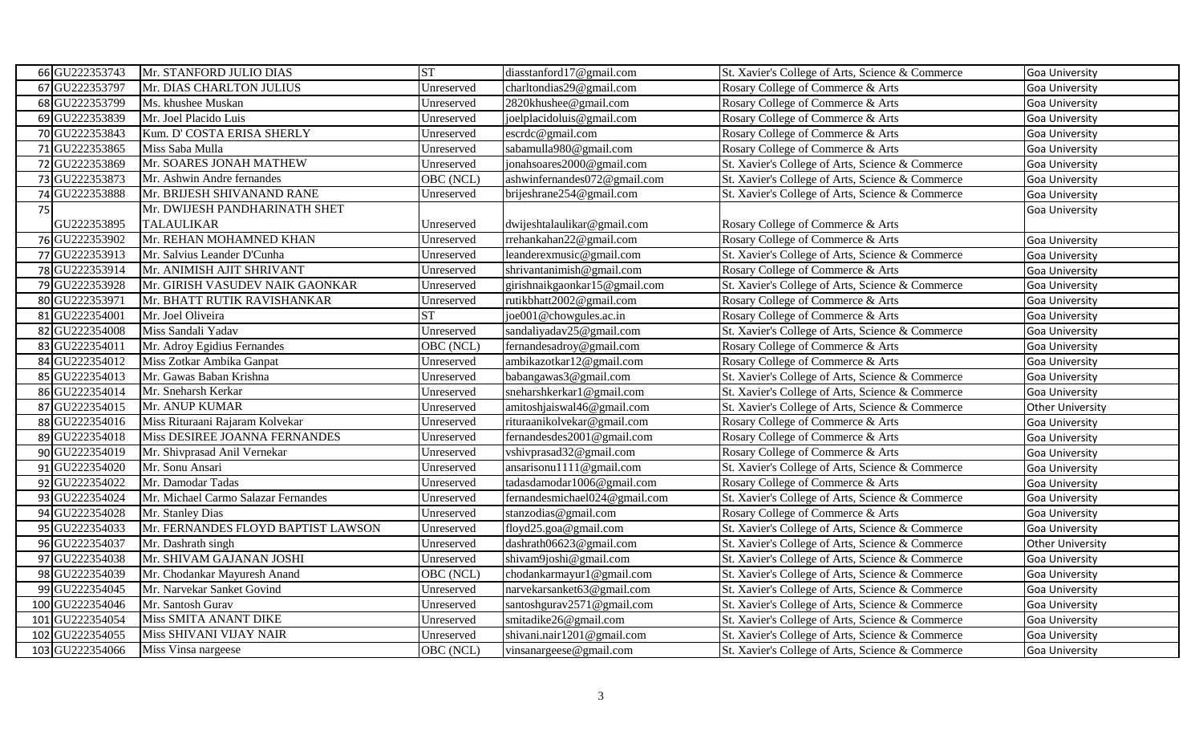| 66 GU222353743  | Mr. STANFORD JULIO DIAS             | <b>ST</b>  | diasstanford17@gmail.com      | St. Xavier's College of Arts, Science & Commerce | Goa University          |
|-----------------|-------------------------------------|------------|-------------------------------|--------------------------------------------------|-------------------------|
| 67 GU222353797  | Mr. DIAS CHARLTON JULIUS            | Unreserved | charltondias29@gmail.com      | Rosary College of Commerce & Arts                | <b>Goa University</b>   |
| 68 GU222353799  | Ms. khushee Muskan                  | Unreserved | 2820khushee@gmail.com         | Rosary College of Commerce & Arts                | Goa University          |
| 69 GU222353839  | Mr. Joel Placido Luis               | Unreserved | joelplacidoluis@gmail.com     | Rosary College of Commerce & Arts                | Goa University          |
| 70 GU222353843  | Kum. D' COSTA ERISA SHERLY          | Unreserved | escrdc@gmail.com              | Rosary College of Commerce & Arts                | <b>Goa University</b>   |
| 71 GU222353865  | Miss Saba Mulla                     | Unreserved | sabamulla980@gmail.com        | Rosary College of Commerce & Arts                | Goa University          |
| 72 GU222353869  | Mr. SOARES JONAH MATHEW             | Unreserved | jonahsoares2000@gmail.com     | St. Xavier's College of Arts, Science & Commerce | <b>Goa University</b>   |
| 73 GU222353873  | Mr. Ashwin Andre fernandes          | OBC (NCL)  | ashwinfernandes072@gmail.com  | St. Xavier's College of Arts, Science & Commerce | Goa University          |
| 74 GU222353888  | Mr. BRIJESH SHIVANAND RANE          | Unreserved | brijeshrane254@gmail.com      | St. Xavier's College of Arts, Science & Commerce | Goa University          |
| 75              | Mr. DWIJESH PANDHARINATH SHET       |            |                               |                                                  | Goa University          |
| GU222353895     | <b>TALAULIKAR</b>                   | Unreserved | dwijeshtalaulikar@gmail.com   | Rosary College of Commerce & Arts                |                         |
| 76 GU222353902  | Mr. REHAN MOHAMNED KHAN             | Unreserved | rrehankahan22@gmail.com       | Rosary College of Commerce & Arts                | Goa University          |
| 77 GU222353913  | Mr. Salvius Leander D'Cunha         | Unreserved | leanderexmusic@gmail.com      | St. Xavier's College of Arts, Science & Commerce | Goa University          |
| 78 GU222353914  | Mr. ANIMISH AJIT SHRIVANT           | Unreserved | shrivantanimish@gmail.com     | Rosary College of Commerce & Arts                | Goa University          |
| 79 GU222353928  | Mr. GIRISH VASUDEV NAIK GAONKAR     | Unreserved | girishnaikgaonkar15@gmail.com | St. Xavier's College of Arts, Science & Commerce | Goa University          |
| 80 GU222353971  | Mr. BHATT RUTIK RAVISHANKAR         | Unreserved | rutikbhatt2002@gmail.com      | Rosary College of Commerce & Arts                | Goa University          |
| 81GU222354001   | Mr. Joel Oliveira                   | <b>ST</b>  | joe001@chowgules.ac.in        | Rosary College of Commerce & Arts                | <b>Goa University</b>   |
| 82 GU222354008  | Miss Sandali Yadav                  | Unreserved | sandaliyadav25@gmail.com      | St. Xavier's College of Arts, Science & Commerce | <b>Goa University</b>   |
| 83 GU222354011  | Mr. Adroy Egidius Fernandes         | OBC (NCL)  | fernandesadroy@gmail.com      | Rosary College of Commerce & Arts                | Goa University          |
| 84 GU222354012  | Miss Zotkar Ambika Ganpat           | Unreserved | ambikazotkar12@gmail.com      | Rosary College of Commerce & Arts                | Goa University          |
| 85 GU222354013  | Mr. Gawas Baban Krishna             | Unreserved | babangawas3@gmail.com         | St. Xavier's College of Arts, Science & Commerce | <b>Goa University</b>   |
| 86 GU222354014  | Mr. Sneharsh Kerkar                 | Unreserved | sneharshkerkar1@gmail.com     | St. Xavier's College of Arts, Science & Commerce | Goa University          |
| 87 GU222354015  | Mr. ANUP KUMAR                      | Unreserved | amitoshjaiswal46@gmail.com    | St. Xavier's College of Arts, Science & Commerce | <b>Other University</b> |
| 88 GU222354016  | Miss Rituraani Rajaram Kolvekar     | Unreserved | rituraanikolvekar@gmail.com   | Rosary College of Commerce & Arts                | Goa University          |
| 89 GU222354018  | Miss DESIREE JOANNA FERNANDES       | Unreserved | fernandesdes2001@gmail.com    | Rosary College of Commerce & Arts                | Goa University          |
| 90 GU222354019  | Mr. Shivprasad Anil Vernekar        | Unreserved | vshivprasad32@gmail.com       | Rosary College of Commerce & Arts                | Goa University          |
| 91 GU222354020  | Mr. Sonu Ansari                     | Unreserved | ansarisonu1111@gmail.com      | St. Xavier's College of Arts, Science & Commerce | Goa University          |
| 92 GU222354022  | Mr. Damodar Tadas                   | Unreserved | tadasdamodar1006@gmail.com    | Rosary College of Commerce & Arts                | Goa University          |
| 93 GU222354024  | Mr. Michael Carmo Salazar Fernandes | Unreserved | fernandesmichael024@gmail.com | St. Xavier's College of Arts, Science & Commerce | Goa University          |
| 94 GU222354028  | Mr. Stanley Dias                    | Unreserved | stanzodias@gmail.com          | Rosary College of Commerce & Arts                | <b>Goa University</b>   |
| 95 GU222354033  | Mr. FERNANDES FLOYD BAPTIST LAWSON  | Unreserved | floyd25.goa@gmail.com         | St. Xavier's College of Arts, Science & Commerce | Goa University          |
| 96 GU222354037  | Mr. Dashrath singh                  | Unreserved | dashrath06623@gmail.com       | St. Xavier's College of Arts, Science & Commerce | Other University        |
| 97 GU222354038  | Mr. SHIVAM GAJANAN JOSHI            | Unreserved | shivam9joshi@gmail.com        | St. Xavier's College of Arts, Science & Commerce | <b>Goa University</b>   |
| 98 GU222354039  | Mr. Chodankar Mayuresh Anand        | OBC (NCL)  | chodankarmayur1@gmail.com     | St. Xavier's College of Arts, Science & Commerce | <b>Goa University</b>   |
| 99 GU222354045  | Mr. Narvekar Sanket Govind          | Unreserved | narvekarsanket63@gmail.com    | St. Xavier's College of Arts, Science & Commerce | Goa University          |
| 100 GU222354046 | Mr. Santosh Gurav                   | Unreserved | santoshgurav2571@gmail.com    | St. Xavier's College of Arts, Science & Commerce | Goa University          |
| 101 GU222354054 | Miss SMITA ANANT DIKE               | Unreserved | smitadike26@gmail.com         | St. Xavier's College of Arts, Science & Commerce | Goa University          |
| 102 GU222354055 | Miss SHIVANI VIJAY NAIR             | Unreserved | shivani.nair1201@gmail.com    | St. Xavier's College of Arts, Science & Commerce | Goa University          |
| 103 GU222354066 | Miss Vinsa nargeese                 | OBC (NCL)  | vinsanargeese@gmail.com       | St. Xavier's College of Arts, Science & Commerce | <b>Goa University</b>   |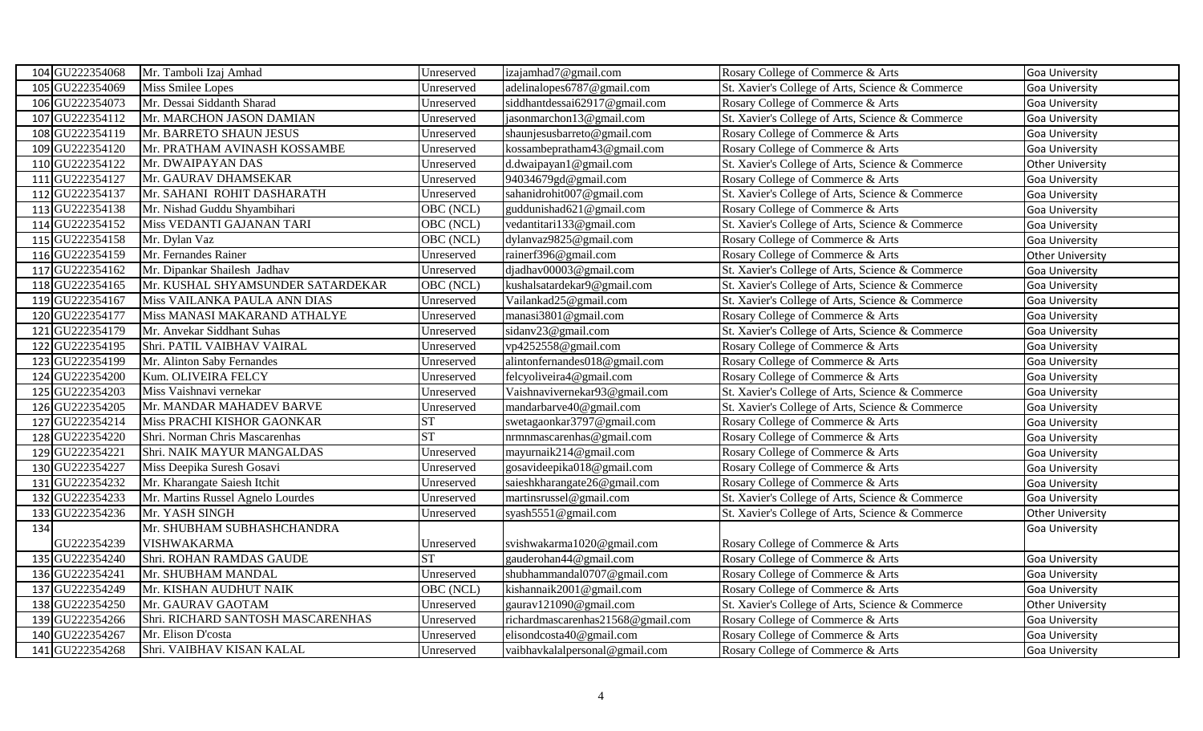| 104 GU222354068 | Mr. Tamboli Izaj Amhad            | Unreserved | izajamhad7@gmail.com              | Rosary College of Commerce & Arts                | <b>Goa University</b>   |
|-----------------|-----------------------------------|------------|-----------------------------------|--------------------------------------------------|-------------------------|
| 105 GU222354069 | <b>Miss Smilee Lopes</b>          | Unreserved | adelinalopes6787@gmail.com        | St. Xavier's College of Arts, Science & Commerce | <b>Goa University</b>   |
| 106 GU222354073 | Mr. Dessai Siddanth Sharad        | Unreserved | siddhantdessai62917@gmail.com     | Rosary College of Commerce & Arts                | <b>Goa University</b>   |
| 107 GU222354112 | Mr. MARCHON JASON DAMIAN          | Unreserved | jasonmarchon13@gmail.com          | St. Xavier's College of Arts, Science & Commerce | Goa University          |
| 108 GU222354119 | Mr. BARRETO SHAUN JESUS           | Unreserved | shaunjesusbarreto@gmail.com       | Rosary College of Commerce & Arts                | <b>Goa University</b>   |
| 109 GU222354120 | Mr. PRATHAM AVINASH KOSSAMBE      | Unreserved | kossambepratham43@gmail.com       | Rosary College of Commerce & Arts                | <b>Goa University</b>   |
| 110 GU222354122 | Mr. DWAIPAYAN DAS                 | Unreserved | d.dwaipayan1@gmail.com            | St. Xavier's College of Arts, Science & Commerce | <b>Other University</b> |
| 111 GU222354127 | Mr. GAURAV DHAMSEKAR              | Unreserved | 94034679gd@gmail.com              | Rosary College of Commerce & Arts                | <b>Goa University</b>   |
| 112 GU222354137 | Mr. SAHANI ROHIT DASHARATH        | Unreserved | sahanidrohit007@gmail.com         | St. Xavier's College of Arts, Science & Commerce | Goa University          |
| 113 GU222354138 | Mr. Nishad Guddu Shyambihari      | OBC (NCL)  | guddunishad621@gmail.com          | Rosary College of Commerce & Arts                | <b>Goa University</b>   |
| 114 GU222354152 | Miss VEDANTI GAJANAN TARI         | OBC (NCL)  | vedantitari133@gmail.com          | St. Xavier's College of Arts, Science & Commerce | <b>Goa University</b>   |
| 115 GU222354158 | Mr. Dylan Vaz                     | OBC (NCL)  | dylanvaz9825@gmail.com            | Rosary College of Commerce & Arts                | <b>Goa University</b>   |
| 116 GU222354159 | Mr. Fernandes Rainer              | Unreserved | rainerf396@gmail.com              | Rosary College of Commerce & Arts                | <b>Other University</b> |
| 117 GU222354162 | Mr. Dipankar Shailesh Jadhav      | Unreserved | djadhav00003@gmail.com            | St. Xavier's College of Arts, Science & Commerce | Goa University          |
| 118 GU222354165 | Mr. KUSHAL SHYAMSUNDER SATARDEKAR | OBC (NCL)  | kushalsatardekar9@gmail.com       | St. Xavier's College of Arts, Science & Commerce | Goa University          |
| 119 GU222354167 | Miss VAILANKA PAULA ANN DIAS      | Unreserved | Vailankad25@gmail.com             | St. Xavier's College of Arts, Science & Commerce | <b>Goa University</b>   |
| 120 GU222354177 | Miss MANASI MAKARAND ATHALYE      | Unreserved | manasi3801@gmail.com              | Rosary College of Commerce & Arts                | <b>Goa University</b>   |
| 121 GU222354179 | Mr. Anvekar Siddhant Suhas        | Unreserved | sidanv23@gmail.com                | St. Xavier's College of Arts, Science & Commerce | <b>Goa University</b>   |
| 122 GU222354195 | Shri. PATIL VAIBHAV VAIRAL        | Unreserved | vp4252558@gmail.com               | Rosary College of Commerce & Arts                | <b>Goa University</b>   |
| 123 GU222354199 | Mr. Alinton Saby Fernandes        | Unreserved | alintonfernandes018@gmail.com     | Rosary College of Commerce & Arts                | <b>Goa University</b>   |
| 124 GU222354200 | Kum. OLIVEIRA FELCY               | Unreserved | felcyoliveira4@gmail.com          | Rosary College of Commerce & Arts                | Goa University          |
| 125 GU222354203 | Miss Vaishnavi vernekar           | Unreserved | Vaishnavivernekar93@gmail.com     | St. Xavier's College of Arts, Science & Commerce | <b>Goa University</b>   |
| 126 GU222354205 | Mr. MANDAR MAHADEV BARVE          | Unreserved | mandarbarve40@gmail.com           | St. Xavier's College of Arts, Science & Commerce | <b>Goa University</b>   |
| 127 GU222354214 | Miss PRACHI KISHOR GAONKAR        | <b>ST</b>  | swetagaonkar3797@gmail.com        | Rosary College of Commerce & Arts                | <b>Goa University</b>   |
| 128 GU222354220 | Shri. Norman Chris Mascarenhas    | <b>ST</b>  | nrmnmascarenhas@gmail.com         | Rosary College of Commerce & Arts                | Goa University          |
| 129 GU222354221 | Shri. NAIK MAYUR MANGALDAS        | Unreserved | mayurnaik214@gmail.com            | Rosary College of Commerce & Arts                | <b>Goa University</b>   |
| 130 GU222354227 | Miss Deepika Suresh Gosavi        | Unreserved | gosavideepika018@gmail.com        | Rosary College of Commerce & Arts                | <b>Goa University</b>   |
| 131 GU222354232 | Mr. Kharangate Saiesh Itchit      | Unreserved | saieshkharangate26@gmail.com      | Rosary College of Commerce & Arts                | <b>Goa University</b>   |
| 132 GU222354233 | Mr. Martins Russel Agnelo Lourdes | Unreserved | martinsrussel@gmail.com           | St. Xavier's College of Arts, Science & Commerce | <b>Goa University</b>   |
| 133 GU222354236 | Mr. YASH SINGH                    | Unreserved | syash5551@gmail.com               | St. Xavier's College of Arts, Science & Commerce | <b>Other University</b> |
| 134             | Mr. SHUBHAM SUBHASHCHANDRA        |            |                                   |                                                  | <b>Goa University</b>   |
| GU222354239     | <b>VISHWAKARMA</b>                | Unreserved | svishwakarma1020@gmail.com        | Rosary College of Commerce & Arts                |                         |
| 135 GU222354240 | Shri. ROHAN RAMDAS GAUDE          | <b>ST</b>  | gauderohan44@gmail.com            | Rosary College of Commerce & Arts                | <b>Goa University</b>   |
| 136 GU222354241 | Mr. SHUBHAM MANDAL                | Unreserved | shubhammandal0707@gmail.com       | Rosary College of Commerce & Arts                | <b>Goa University</b>   |
| 137 GU222354249 | Mr. KISHAN AUDHUT NAIK            | OBC (NCL)  | kishannaik2001@gmail.com          | Rosary College of Commerce & Arts                | <b>Goa University</b>   |
| 138 GU222354250 | Mr. GAURAV GAOTAM                 | Unreserved | gaurav121090@gmail.com            | St. Xavier's College of Arts, Science & Commerce | <b>Other University</b> |
| 139 GU222354266 | Shri. RICHARD SANTOSH MASCARENHAS | Unreserved | richardmascarenhas21568@gmail.com | Rosary College of Commerce & Arts                | <b>Goa University</b>   |
| 140 GU222354267 | Mr. Elison D'costa                | Unreserved | elisondcosta40@gmail.com          | Rosary College of Commerce & Arts                | Goa University          |
| 141 GU222354268 | Shri. VAIBHAV KISAN KALAL         | Unreserved | vaibhavkalalpersonal@gmail.com    | Rosary College of Commerce & Arts                | Goa University          |